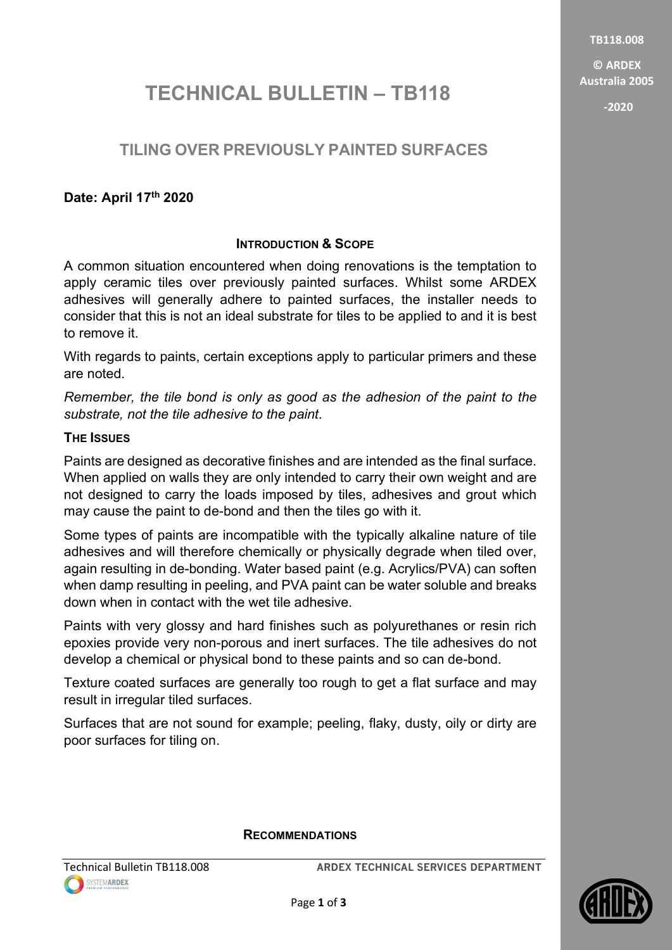TB118.008

© ARDEX Australia 2005 -2020

# TECHNICAL BULLETIN - TB118

## TILING OVER PREVIOUSLY PAINTED SURFACES

## Date: April 17th 2020

## INTRODUCTION & SCOPE

A common situation encountered when doing renovations is the temptation to apply ceramic tiles over previously painted surfaces. Whilst some ARDEX adhesives will generally adhere to painted surfaces, the installer needs to consider that this is not an ideal substrate for tiles to be applied to and it is best to remove it.

With regards to paints, certain exceptions apply to particular primers and these are noted.

Remember, the tile bond is only as good as the adhesion of the paint to the substrate, not the tile adhesive to the paint.

## THE ISSUES

Paints are designed as decorative finishes and are intended as the final surface. When applied on walls they are only intended to carry their own weight and are not designed to carry the loads imposed by tiles, adhesives and grout which may cause the paint to de-bond and then the tiles go with it.

Some types of paints are incompatible with the typically alkaline nature of tile adhesives and will therefore chemically or physically degrade when tiled over, again resulting in de-bonding. Water based paint (e.g. Acrylics/PVA) can soften when damp resulting in peeling, and PVA paint can be water soluble and breaks down when in contact with the wet tile adhesive.

Paints with very glossy and hard finishes such as polyurethanes or resin rich epoxies provide very non-porous and inert surfaces. The tile adhesives do not develop a chemical or physical bond to these paints and so can de-bond.

Texture coated surfaces are generally too rough to get a flat surface and may result in irregular tiled surfaces.

Surfaces that are not sound for example; peeling, flaky, dusty, oily or dirty are poor surfaces for tiling on.

### RECOMMENDATIONS

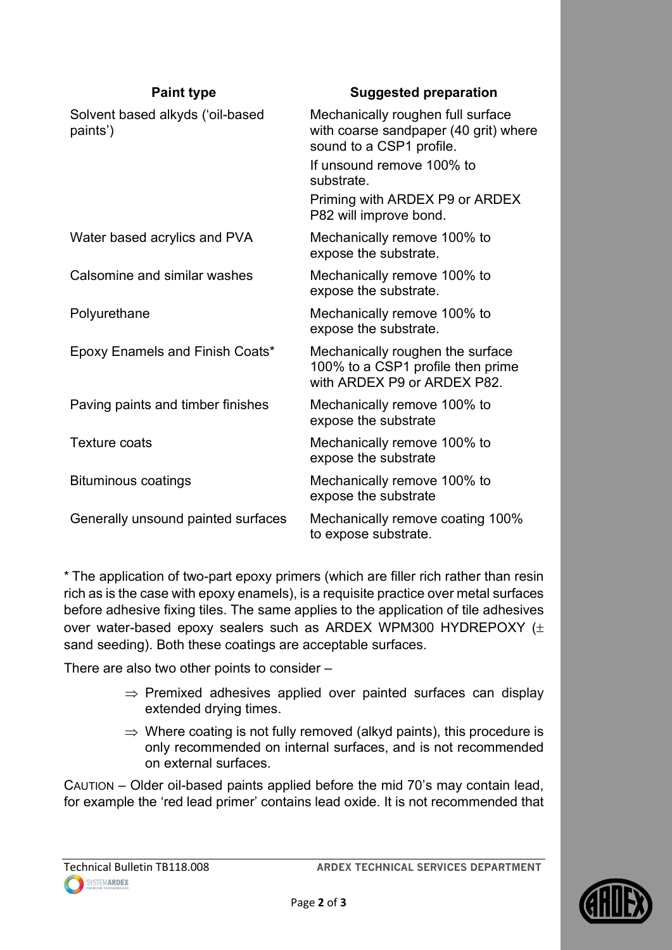| <b>Paint type</b>                            | <b>Suggested preparation</b>                                                                           |
|----------------------------------------------|--------------------------------------------------------------------------------------------------------|
| Solvent based alkyds ('oil-based<br>paints') | Mechanically roughen full surface<br>with coarse sandpaper (40 grit) where<br>sound to a CSP1 profile. |
|                                              | If unsound remove 100% to<br>substrate.                                                                |
|                                              | Priming with ARDEX P9 or ARDEX<br>P82 will improve bond.                                               |
| Water based acrylics and PVA                 | Mechanically remove 100% to<br>expose the substrate.                                                   |
| Calsomine and similar washes                 | Mechanically remove 100% to<br>expose the substrate.                                                   |
| Polyurethane                                 | Mechanically remove 100% to<br>expose the substrate.                                                   |
| Epoxy Enamels and Finish Coats*              | Mechanically roughen the surface<br>100% to a CSP1 profile then prime<br>with ARDEX P9 or ARDEX P82.   |
| Paving paints and timber finishes            | Mechanically remove 100% to<br>expose the substrate                                                    |
| <b>Texture coats</b>                         | Mechanically remove 100% to<br>expose the substrate                                                    |
| <b>Bituminous coatings</b>                   | Mechanically remove 100% to<br>expose the substrate                                                    |
| Generally unsound painted surfaces           | Mechanically remove coating 100%<br>to expose substrate.                                               |

\* The application of two-part epoxy primers (which are filler rich rather than resin rich as is the case with epoxy enamels), is a requisite practice over metal surfaces before adhesive fixing tiles. The same applies to the application of tile adhesives over water-based epoxy sealers such as ARDEX WPM300 HYDREPOXY ( sand seeding). Both these coatings are acceptable surfaces.

There are also two other points to consider –

- $\Rightarrow$  Premixed adhesives applied over painted surfaces can display extended drying times.
- $\Rightarrow$  Where coating is not fully removed (alkyd paints), this procedure is only recommended on internal surfaces, and is not recommended on external surfaces.

CAUTION – Older oil-based paints applied before the mid 70's may contain lead, for example the 'red lead primer' contains lead oxide. It is not recommended that